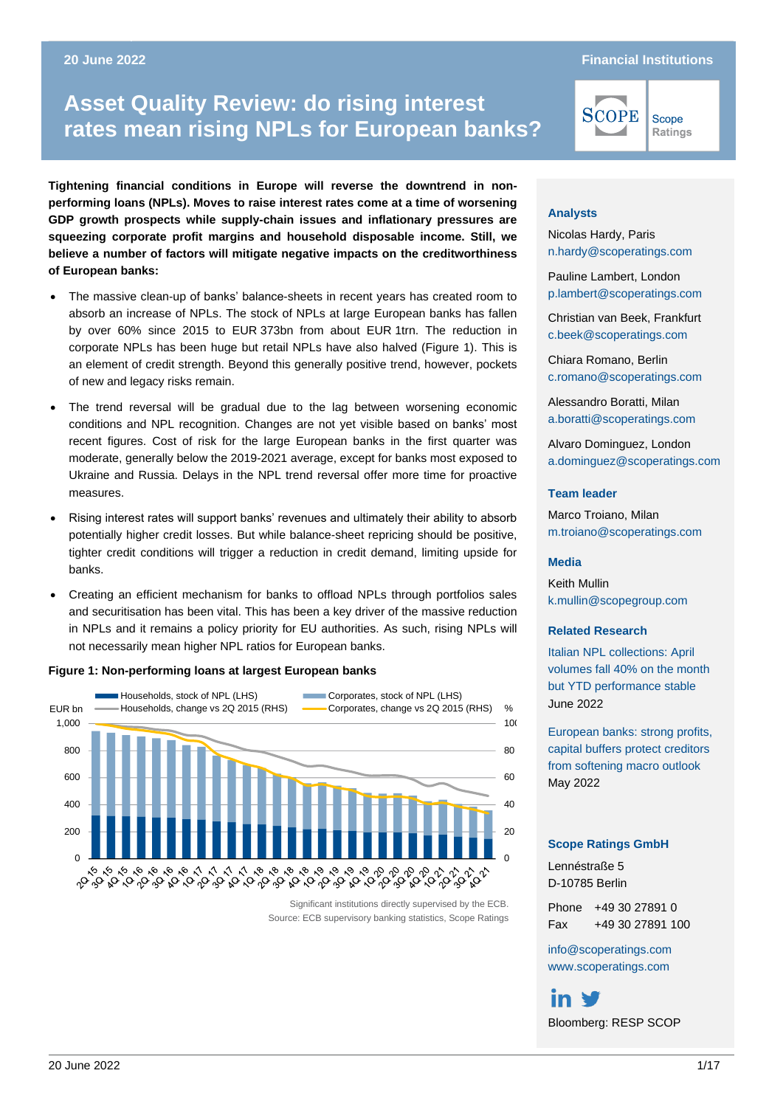#### **Asset Quality Review: do rising interest rates mean rising 20 June 2022 Financial Institutions**

Scope Ratings

# **Asset Quality Review: do rising interest rates mean rising NPLs for European banks?**

**Tightening financial conditions in Europe will reverse the downtrend in nonperforming loans (NPLs). Moves to raise interest rates come at a time of worsening GDP growth prospects while supply-chain issues and inflationary pressures are squeezing corporate profit margins and household disposable income. Still, we believe a number of factors will mitigate negative impacts on the creditworthiness of European banks:**

- The massive clean-up of banks' balance-sheets in recent years has created room to absorb an increase of NPLs. The stock of NPLs at large European banks has fallen by over 60% since 2015 to EUR 373bn from about EUR 1trn. The reduction in corporate NPLs has been huge but retail NPLs have also halved (Figure 1). This is an element of credit strength. Beyond this generally positive trend, however, pockets of new and legacy risks remain.
- The trend reversal will be gradual due to the lag between worsening economic conditions and NPL recognition. Changes are not yet visible based on banks' most recent figures. Cost of risk for the large European banks in the first quarter was moderate, generally below the 2019-2021 average, except for banks most exposed to Ukraine and Russia. Delays in the NPL trend reversal offer more time for proactive measures.
- Rising interest rates will support banks' revenues and ultimately their ability to absorb potentially higher credit losses. But while balance-sheet repricing should be positive, tighter credit conditions will trigger a reduction in credit demand, limiting upside for banks.
- Creating an efficient mechanism for banks to offload NPLs through portfolios sales and securitisation has been vital. This has been a key driver of the massive reduction in NPLs and it remains a policy priority for EU authorities. As such, rising NPLs will not necessarily mean higher NPL ratios for European banks.

#### **Figure 1: Non-performing loans at largest European banks**



Significant institutions directly supervised by the ECB. Source: ECB supervisory banking statistics, Scope Ratings

#### **Analysts**

Nicolas Hardy, Paris [n.hardy@scoperatings.com](mailto:n.hardy@scoperatings.com)

**SCOPE** 

Pauline Lambert, London [p.lambert@scoperatings.com](mailto:p.lambert@scoperatings.com)

Christian van Beek, Frankfurt [c.beek@scoperatings.com](mailto:.beek@scoperatings.com)

Chiara Romano, Berlin [c.romano@scoperatings.com](mailto:c.romano@scoperatings.com)

Alessandro Boratti, Milan [a.boratti@scoperatings.com](mailto:a.boratti@scoperatings.com)

Alvaro Dominguez, London [a.dominguez@scoperatings.com](mailto:a.dominguez@scoperatings.com)

#### **Team leader**

Marco Troiano, Milan [m.troiano@scoperatings.com](mailto:m.troiano@scoperatings.com)

#### **Media**

Keith Mullin [k.mullin@scopegroup.com](mailto:k.mullin@scopegroup.com)

#### **Related Research**

[Italian NPL collections: April](https://www.scoperatings.com/ratings-and-research/research/EN/171399)  [volumes fall 40% on the month](https://www.scoperatings.com/ratings-and-research/research/EN/171399)  [but YTD performance stable](https://www.scoperatings.com/ratings-and-research/research/EN/171399) June 2022

[European banks: strong profits,](https://www.scopegroup.com/dam/jcr:740e1630-8ffb-4987-b527-6374486e22fa/Scope%20Ratings%20-%20European%20bank%20buffers%20against%20deteriorating%20macro%20conditions%20May%2018.pdf)  [capital buffers protect creditors](https://www.scopegroup.com/dam/jcr:740e1630-8ffb-4987-b527-6374486e22fa/Scope%20Ratings%20-%20European%20bank%20buffers%20against%20deteriorating%20macro%20conditions%20May%2018.pdf)  [from softening macro outlook](https://www.scopegroup.com/dam/jcr:740e1630-8ffb-4987-b527-6374486e22fa/Scope%20Ratings%20-%20European%20bank%20buffers%20against%20deteriorating%20macro%20conditions%20May%2018.pdf) May 2022

#### **Scope Ratings GmbH**

Lennéstraße 5 D-10785 Berlin

Phone +49 30 27891 0 Fax +49 30 27891 100

[info@scoperatings.com](mailto:info@scoperatings.com) [www.scoperatings.com](https://www.scoperatings.com/)

Bloomberg: RESP SCOP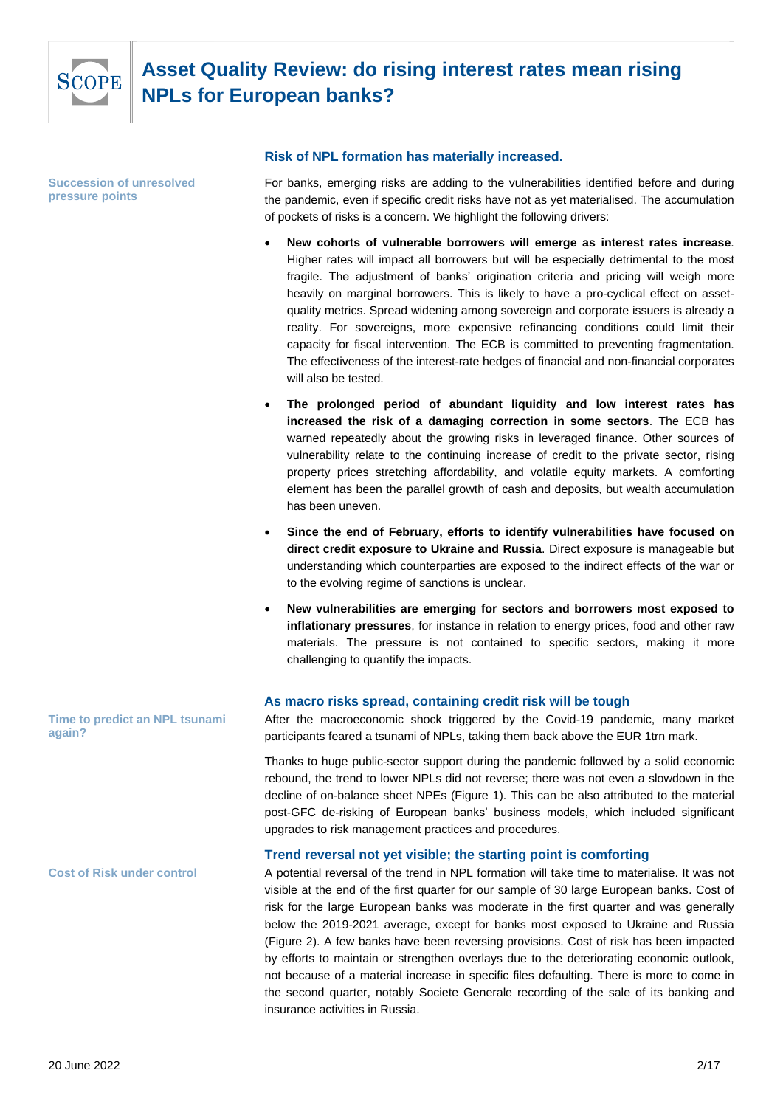

**Succession of unresolved pressure points**

#### **Risk of NPL formation has materially increased.**

For banks, emerging risks are adding to the vulnerabilities identified before and during the pandemic, even if specific credit risks have not as yet materialised. The accumulation of pockets of risks is a concern. We highlight the following drivers:

- **New cohorts of vulnerable borrowers will emerge as interest rates increase**. Higher rates will impact all borrowers but will be especially detrimental to the most fragile. The adjustment of banks' origination criteria and pricing will weigh more heavily on marginal borrowers. This is likely to have a pro-cyclical effect on assetquality metrics. Spread widening among sovereign and corporate issuers is already a reality. For sovereigns, more expensive refinancing conditions could limit their capacity for fiscal intervention. The ECB is committed to preventing fragmentation. The effectiveness of the interest-rate hedges of financial and non-financial corporates will also be tested.
- **The prolonged period of abundant liquidity and low interest rates has increased the risk of a damaging correction in some sectors**. The ECB has warned repeatedly about the growing risks in leveraged finance. Other sources of vulnerability relate to the continuing increase of credit to the private sector, rising property prices stretching affordability, and volatile equity markets. A comforting element has been the parallel growth of cash and deposits, but wealth accumulation has been uneven.
- **Since the end of February, efforts to identify vulnerabilities have focused on direct credit exposure to Ukraine and Russia**. Direct exposure is manageable but understanding which counterparties are exposed to the indirect effects of the war or to the evolving regime of sanctions is unclear.
- **New vulnerabilities are emerging for sectors and borrowers most exposed to inflationary pressures**, for instance in relation to energy prices, food and other raw materials. The pressure is not contained to specific sectors, making it more challenging to quantify the impacts.

### **As macro risks spread, containing credit risk will be tough**

After the macroeconomic shock triggered by the Covid-19 pandemic, many market participants feared a tsunami of NPLs, taking them back above the EUR 1trn mark.

Thanks to huge public-sector support during the pandemic followed by a solid economic rebound, the trend to lower NPLs did not reverse; there was not even a slowdown in the decline of on-balance sheet NPEs (Figure 1). This can be also attributed to the material post-GFC de-risking of European banks' business models, which included significant upgrades to risk management practices and procedures.

### **Trend reversal not yet visible; the starting point is comforting**

A potential reversal of the trend in NPL formation will take time to materialise. It was not visible at the end of the first quarter for our sample of 30 large European banks. Cost of risk for the large European banks was moderate in the first quarter and was generally below the 2019-2021 average, except for banks most exposed to Ukraine and Russia (Figure 2). A few banks have been reversing provisions. Cost of risk has been impacted by efforts to maintain or strengthen overlays due to the deteriorating economic outlook, not because of a material increase in specific files defaulting. There is more to come in the second quarter, notably Societe Generale recording of the sale of its banking and insurance activities in Russia.

**Time to predict an NPL tsunami again?**

**Cost of Risk under control**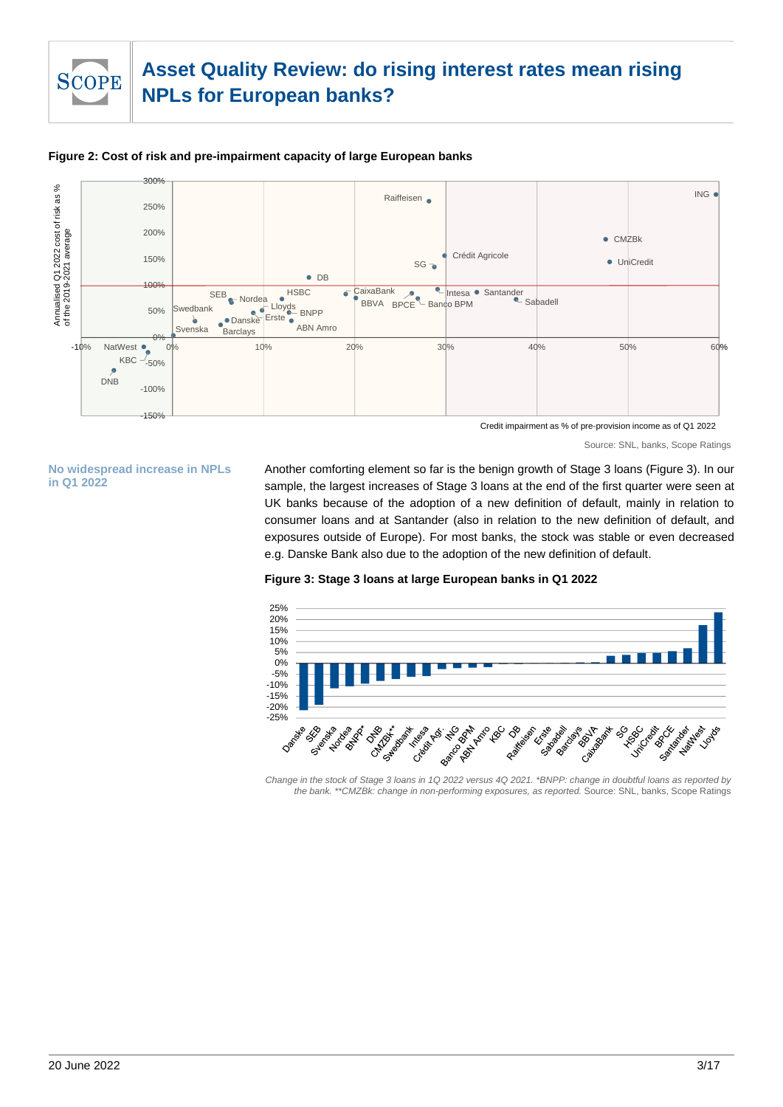# SCOPE

# **Asset Quality Review: do rising interest rates mean rising NPLs for European banks?**



#### **Figure 2: Cost of risk and pre-impairment capacity of large European banks**

Source: SNL, banks, Scope Ratings

**No widespread increase in NPLs in Q1 2022**

Another comforting element so far is the benign growth of Stage 3 loans (Figure 3). In our sample, the largest increases of Stage 3 loans at the end of the first quarter were seen at UK banks because of the adoption of a new definition of default, mainly in relation to consumer loans and at Santander (also in relation to the new definition of default, and exposures outside of Europe). For most banks, the stock was stable or even decreased e.g. Danske Bank also due to the adoption of the new definition of default.

#### **Figure 3: Stage 3 loans at large European banks in Q1 2022**



*Change in the stock of Stage 3 loans in 1Q 2022 versus 4Q 2021. \*BNPP: change in doubtful loans as reported by the bank. \*\*CMZBk: change in non-performing exposures, as reported.* Source: SNL, banks, Scope Ratings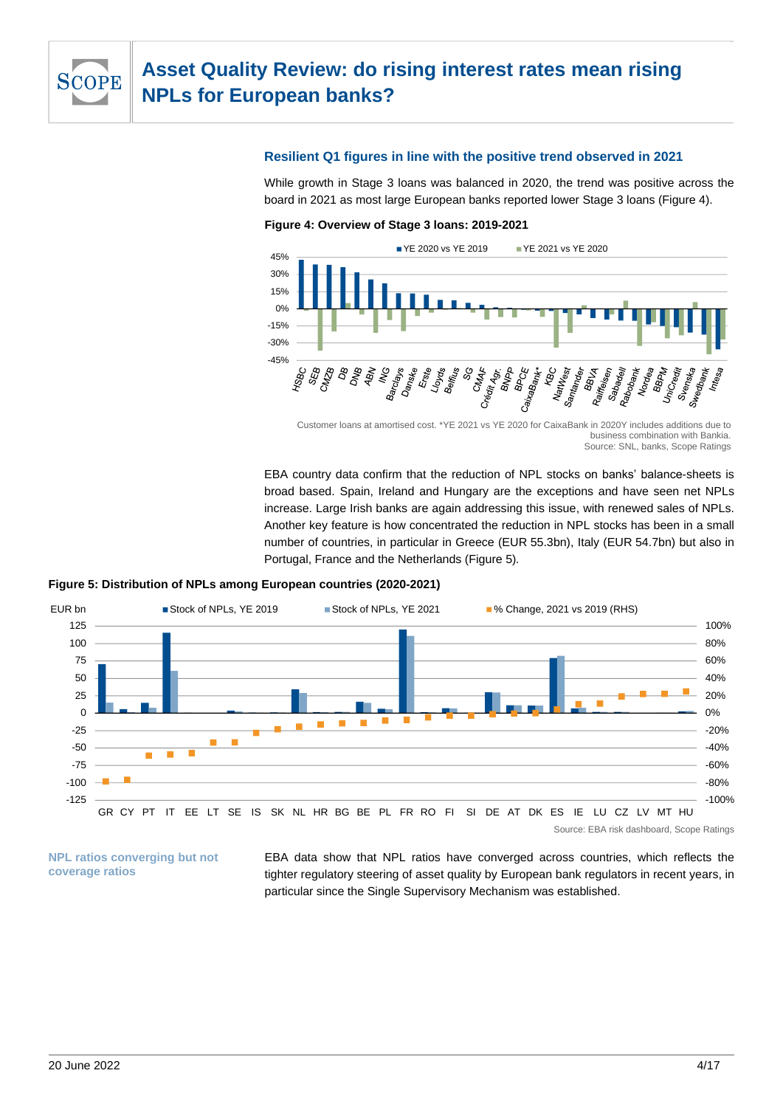

#### **Resilient Q1 figures in line with the positive trend observed in 2021**

While growth in Stage 3 loans was balanced in 2020, the trend was positive across the board in 2021 as most large European banks reported lower Stage 3 loans (Figure 4).





Customer loans at amortised cost. \*YE 2021 vs YE 2020 for CaixaBank in 2020Y includes additions due to business combination with Bankia. Source: SNL, banks, Scope Ratings

EBA country data confirm that the reduction of NPL stocks on banks' balance-sheets is broad based. Spain, Ireland and Hungary are the exceptions and have seen net NPLs increase. Large Irish banks are again addressing this issue, with renewed sales of NPLs. Another key feature is how concentrated the reduction in NPL stocks has been in a small number of countries, in particular in Greece (EUR 55.3bn), Italy (EUR 54.7bn) but also in Portugal, France and the Netherlands (Figure 5)*.*





**NPL ratios converging but not coverage ratios**

EBA data show that NPL ratios have converged across countries, which reflects the tighter regulatory steering of asset quality by European bank regulators in recent years, in particular since the Single Supervisory Mechanism was established.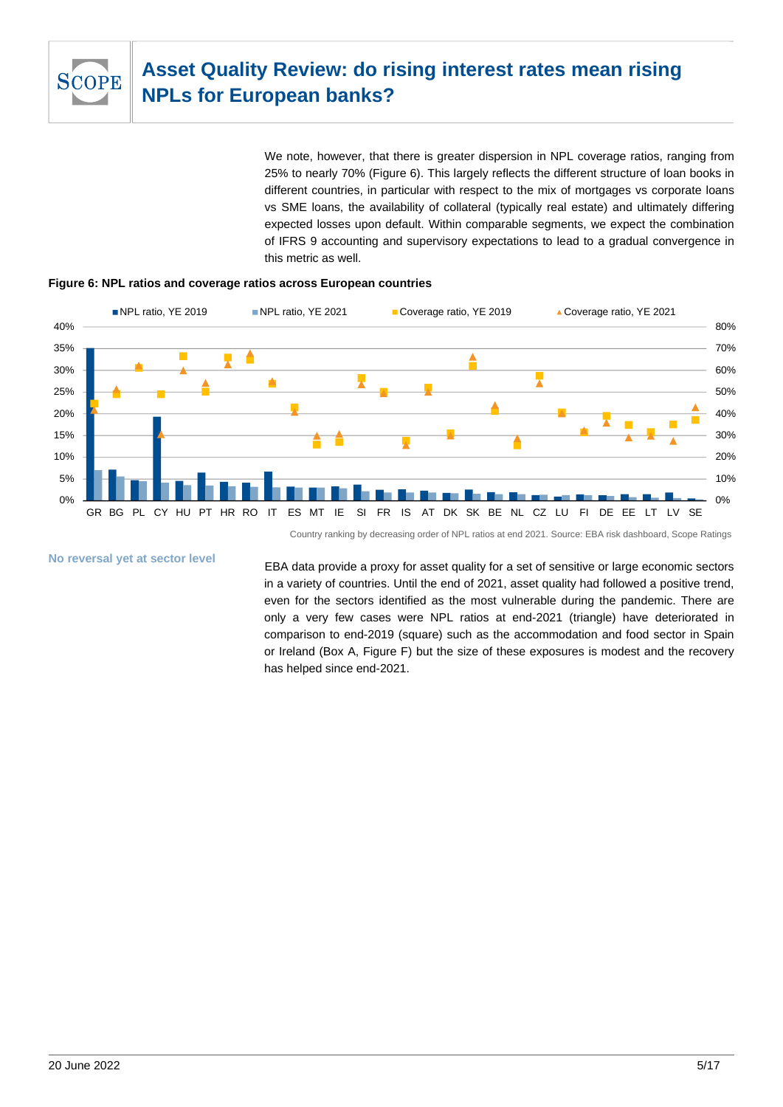

We note, however, that there is greater dispersion in NPL coverage ratios, ranging from 25% to nearly 70% (Figure 6). This largely reflects the different structure of loan books in different countries, in particular with respect to the mix of mortgages vs corporate loans vs SME loans, the availability of collateral (typically real estate) and ultimately differing expected losses upon default. Within comparable segments, we expect the combination of IFRS 9 accounting and supervisory expectations to lead to a gradual convergence in this metric as well.





Country ranking by decreasing order of NPL ratios at end 2021. Source: EBA risk dashboard, Scope Ratings

**No reversal yet at sector level**

EBA data provide a proxy for asset quality for a set of sensitive or large economic sectors in a variety of countries. Until the end of 2021, asset quality had followed a positive trend, even for the sectors identified as the most vulnerable during the pandemic. There are only a very few cases were NPL ratios at end-2021 (triangle) have deteriorated in comparison to end-2019 (square) such as the accommodation and food sector in Spain or Ireland (Box A, Figure F) but the size of these exposures is modest and the recovery has helped since end-2021.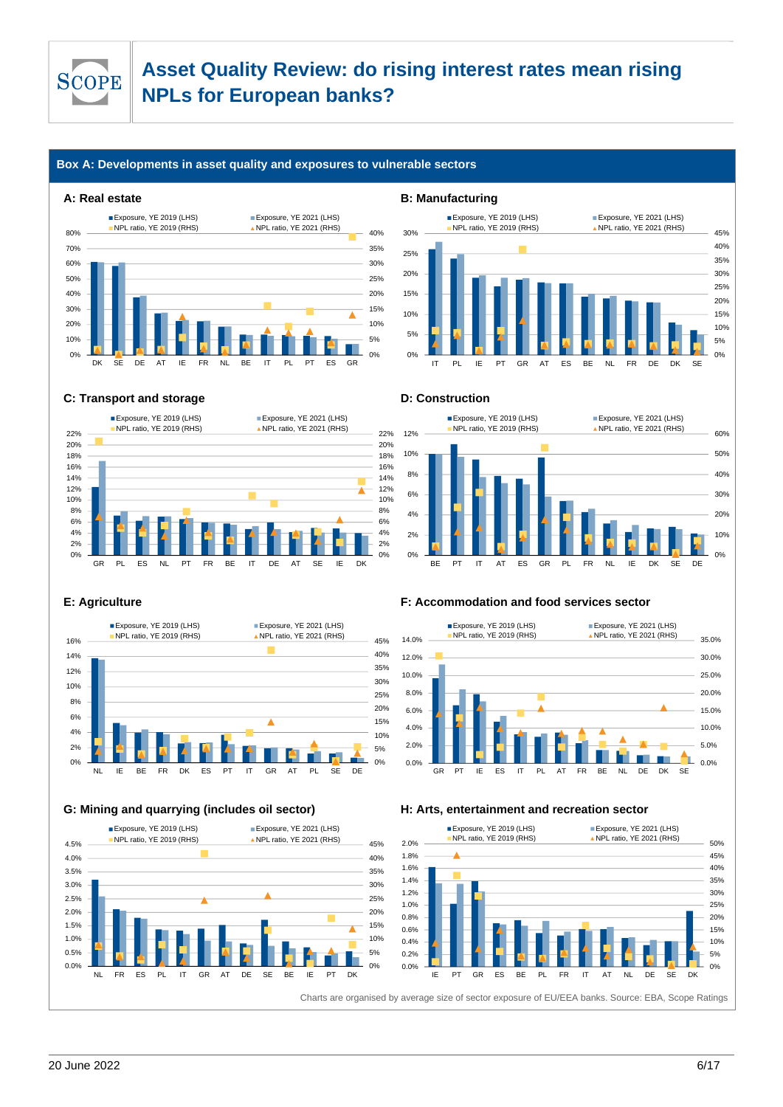

#### **Box A: Developments in asset quality and exposures to vulnerable sectors**

#### **A: Real estate B: Manufacturing**





#### **C: Transport and storage D: Construction**







#### **G: Mining and quarrying (includes oil sector) H: Arts, entertainment and recreation sector**



#### **E: Agriculture F: Accommodation and food services sector**





20 June 2022 6/17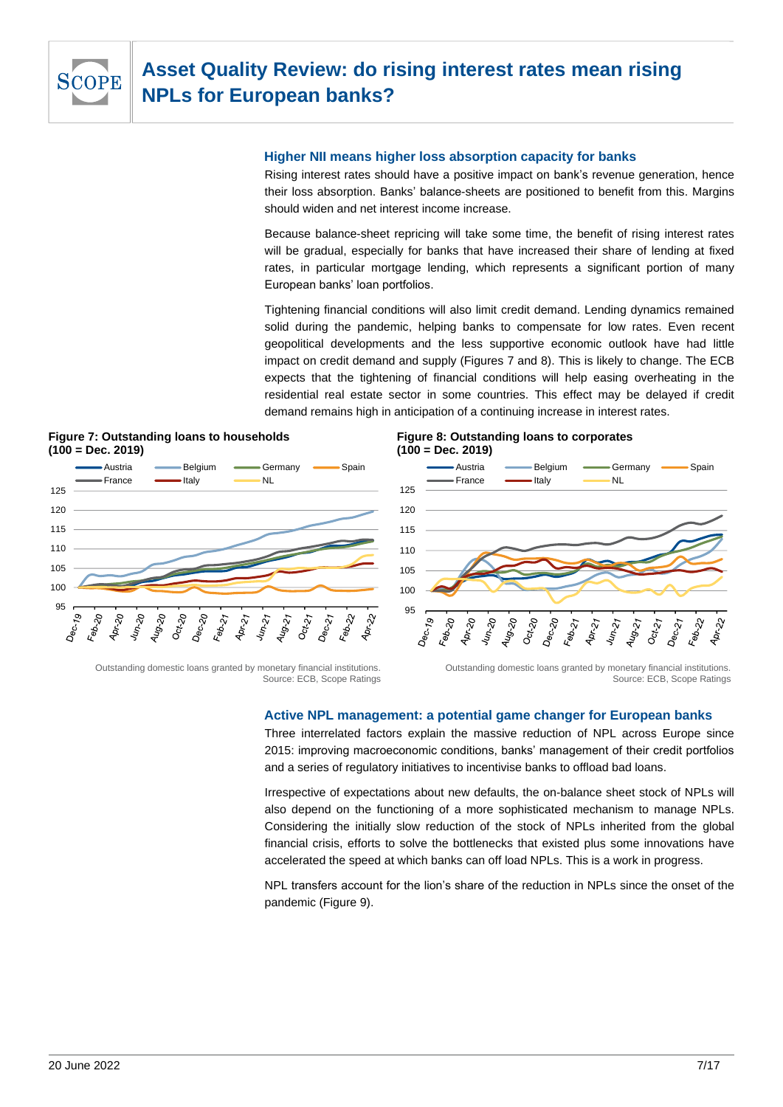

#### **Higher NII means higher loss absorption capacity for banks**

Rising interest rates should have a positive impact on bank's revenue generation, hence their loss absorption. Banks' balance-sheets are positioned to benefit from this. Margins should widen and net interest income increase.

Because balance-sheet repricing will take some time, the benefit of rising interest rates will be gradual, especially for banks that have increased their share of lending at fixed rates, in particular mortgage lending, which represents a significant portion of many European banks' loan portfolios.

Tightening financial conditions will also limit credit demand. Lending dynamics remained solid during the pandemic, helping banks to compensate for low rates. Even recent geopolitical developments and the less supportive economic outlook have had little impact on credit demand and supply (Figures 7 and 8). This is likely to change. The ECB expects that the tightening of financial conditions will help easing overheating in the residential real estate sector in some countries. This effect may be delayed if credit demand remains high in anticipation of a continuing increase in interest rates.





#### **Figure 8: Outstanding loans to corporates (100 = Dec. 2019)**



Outstanding domestic loans granted by monetary financial institutions. Source: ECB, Scope Ratings

Outstanding domestic loans granted by monetary financial institutions. Source: ECB, Scope Ratings

#### **Active NPL management: a potential game changer for European banks**

Three interrelated factors explain the massive reduction of NPL across Europe since 2015: improving macroeconomic conditions, banks' management of their credit portfolios and a series of regulatory initiatives to incentivise banks to offload bad loans.

Irrespective of expectations about new defaults, the on-balance sheet stock of NPLs will also depend on the functioning of a more sophisticated mechanism to manage NPLs. Considering the initially slow reduction of the stock of NPLs inherited from the global financial crisis, efforts to solve the bottlenecks that existed plus some innovations have accelerated the speed at which banks can off load NPLs. This is a work in progress.

NPL transfers account for the lion's share of the reduction in NPLs since the onset of the pandemic (Figure 9).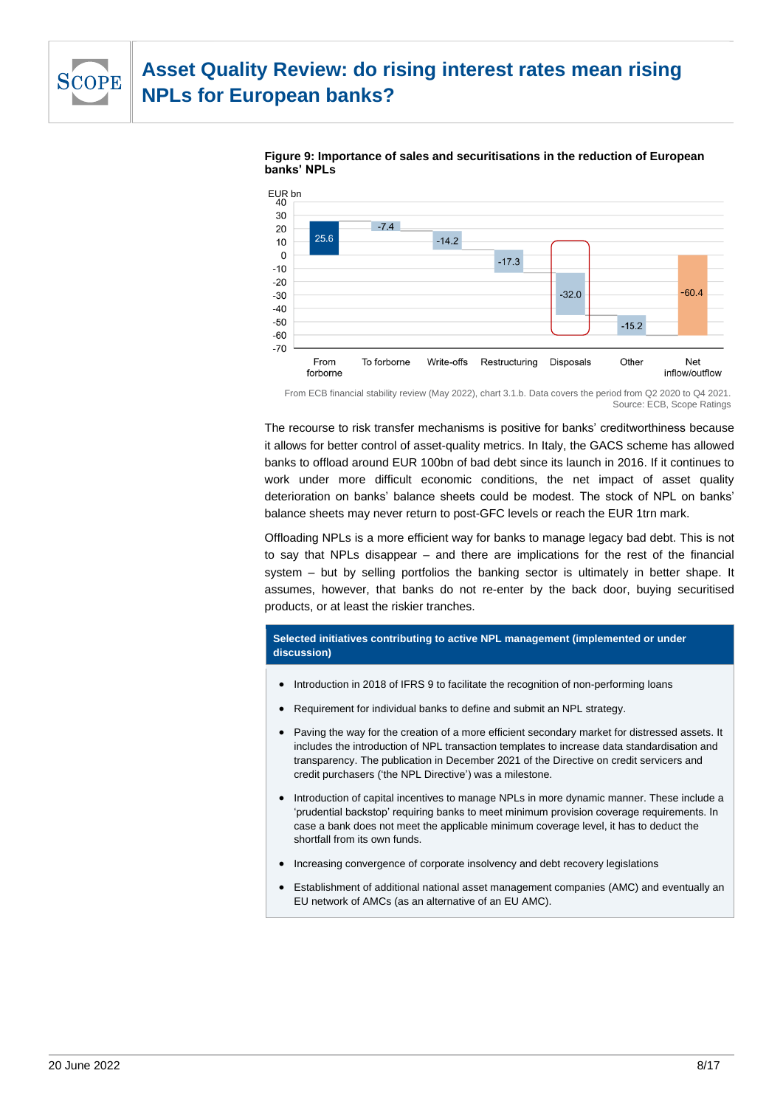





From ECB financial stability review (May 2022), chart 3.1.b. Data covers the period from Q2 2020 to Q4 2021. Source: ECB, Scope Ratings

The recourse to risk transfer mechanisms is positive for banks' creditworthiness because it allows for better control of asset-quality metrics. In Italy, the GACS scheme has allowed banks to offload around EUR 100bn of bad debt since its launch in 2016. If it continues to work under more difficult economic conditions, the net impact of asset quality deterioration on banks' balance sheets could be modest. The stock of NPL on banks' balance sheets may never return to post-GFC levels or reach the EUR 1trn mark.

Offloading NPLs is a more efficient way for banks to manage legacy bad debt. This is not to say that NPLs disappear – and there are implications for the rest of the financial system – but by selling portfolios the banking sector is ultimately in better shape. It assumes, however, that banks do not re-enter by the back door, buying securitised products, or at least the riskier tranches.

#### **Selected initiatives contributing to active NPL management (implemented or under discussion)**

- Introduction in 2018 of IFRS 9 to facilitate the recognition of non-performing loans
- Requirement for individual banks to define and submit an NPL strategy.
- Paving the way for the creation of a more efficient secondary market for distressed assets. It includes the introduction of NPL transaction templates to increase data standardisation and transparency. The publication in December 2021 of the Directive on credit servicers and credit purchasers ('the NPL Directive') was a milestone.
- Introduction of capital incentives to manage NPLs in more dynamic manner. These include a 'prudential backstop' requiring banks to meet minimum provision coverage requirements. In case a bank does not meet the applicable minimum coverage level, it has to deduct the shortfall from its own funds.
- Increasing convergence of corporate insolvency and debt recovery legislations
- Establishment of additional national asset management companies (AMC) and eventually an EU network of AMCs (as an alternative of an EU AMC).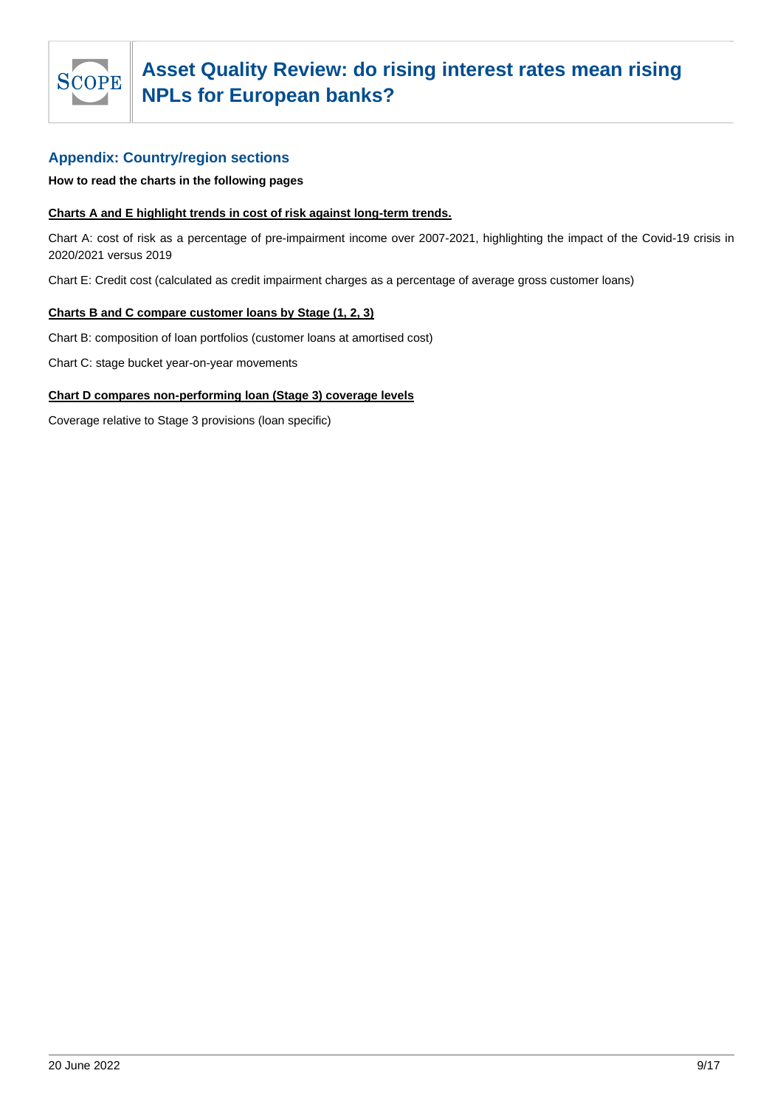

#### **Appendix: Country/region sections**

**How to read the charts in the following pages**

#### **Charts A and E highlight trends in cost of risk against long-term trends.**

Chart A: cost of risk as a percentage of pre-impairment income over 2007-2021, highlighting the impact of the Covid-19 crisis in 2020/2021 versus 2019

Chart E: Credit cost (calculated as credit impairment charges as a percentage of average gross customer loans)

#### **Charts B and C compare customer loans by Stage (1, 2, 3)**

Chart B: composition of loan portfolios (customer loans at amortised cost)

Chart C: stage bucket year-on-year movements

#### **Chart D compares non-performing loan (Stage 3) coverage levels**

Coverage relative to Stage 3 provisions (loan specific)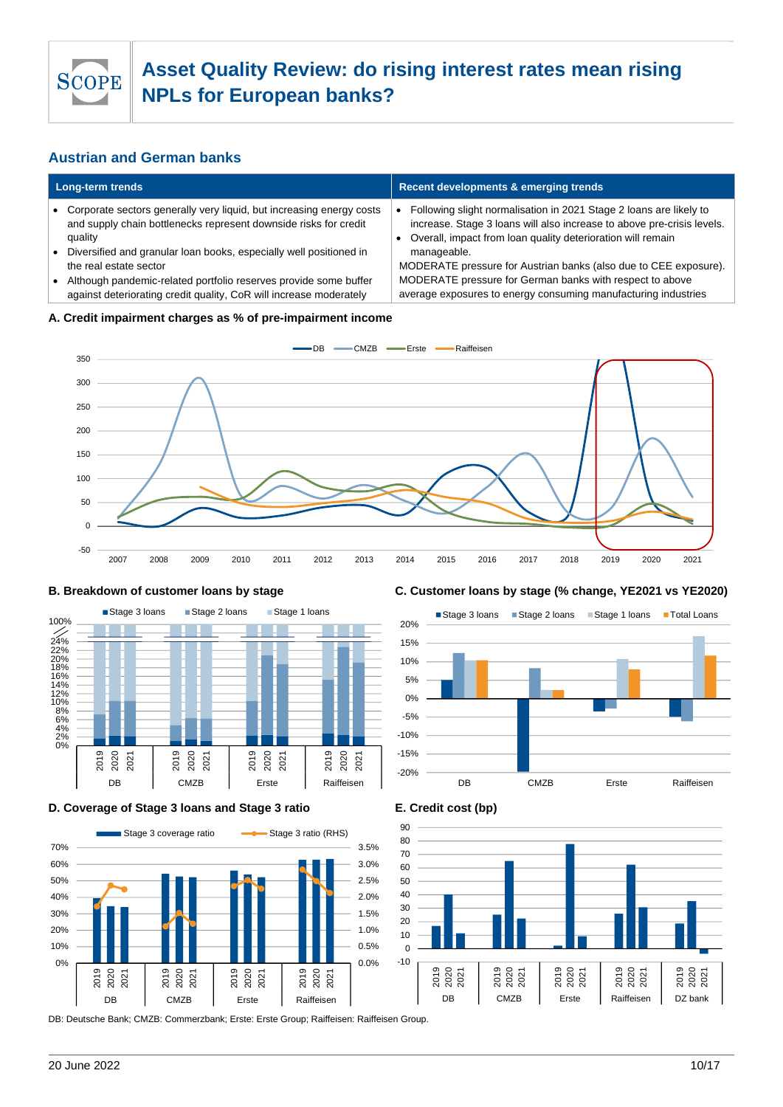

### **Austrian and German banks**

| <b>Long-term trends</b> |                                                                                                                                                                                                                                        | <b>Recent developments &amp; emerging trends</b>                                                                                                                                                              |  |
|-------------------------|----------------------------------------------------------------------------------------------------------------------------------------------------------------------------------------------------------------------------------------|---------------------------------------------------------------------------------------------------------------------------------------------------------------------------------------------------------------|--|
|                         | • Corporate sectors generally very liquid, but increasing energy costs<br>and supply chain bottlenecks represent downside risks for credit<br>quality                                                                                  | Following slight normalisation in 2021 Stage 2 loans are likely to<br>increase. Stage 3 loans will also increase to above pre-crisis levels.<br>Overall, impact from loan quality deterioration will remain   |  |
|                         | Diversified and granular loan books, especially well positioned in<br>the real estate sector<br>Although pandemic-related portfolio reserves provide some buffer<br>against deteriorating credit quality, CoR will increase moderately | manageable.<br>MODERATE pressure for Austrian banks (also due to CEE exposure).<br>MODERATE pressure for German banks with respect to above<br>average exposures to energy consuming manufacturing industries |  |
|                         | .                                                                                                                                                                                                                                      |                                                                                                                                                                                                               |  |

#### **A. Credit impairment charges as % of pre-impairment income**





#### **D. Coverage of Stage 3 loans and Stage 3 ratio E. Credit cost (bp)**



DB: Deutsche Bank; CMZB: Commerzbank; Erste: Erste Group; Raiffeisen: Raiffeisen Group.

#### **B. Breakdown of customer loans by stage C. Customer loans by stage (% change, YE2021 vs YE2020)**





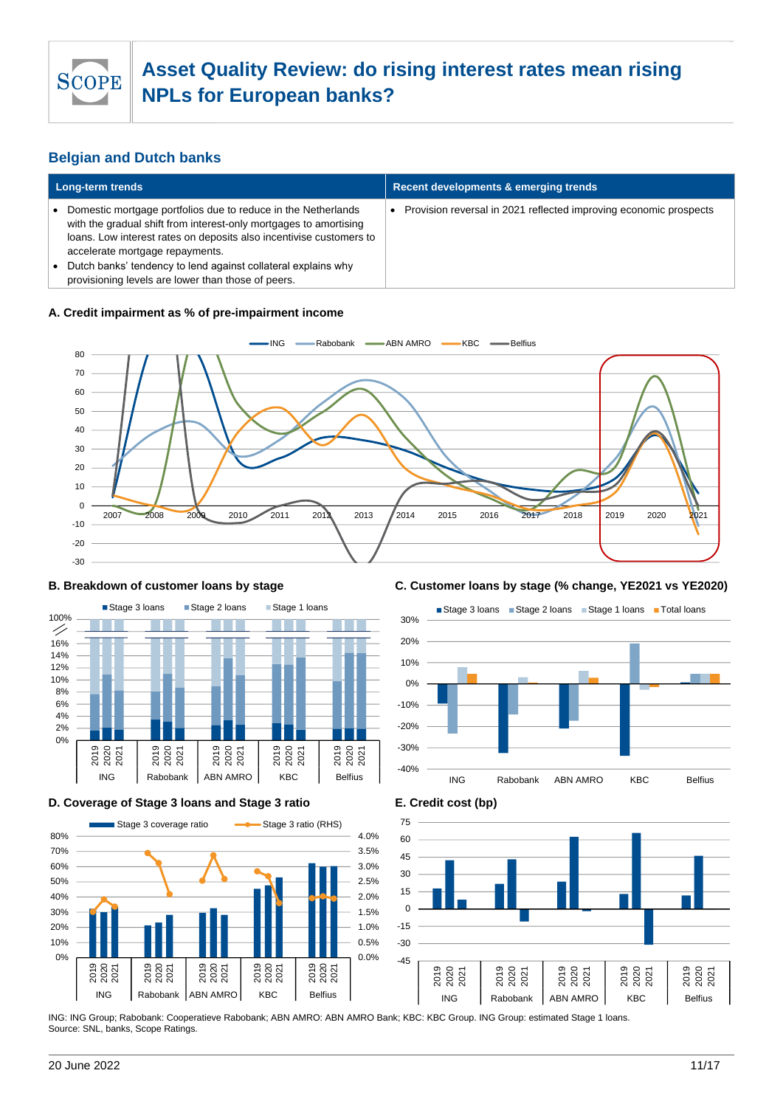

### **Belgian and Dutch banks**

| <b>Long-term trends</b>                                                                                                                                                                                                                                                                                                                                             | Recent developments & emerging trends                             |  |
|---------------------------------------------------------------------------------------------------------------------------------------------------------------------------------------------------------------------------------------------------------------------------------------------------------------------------------------------------------------------|-------------------------------------------------------------------|--|
| Domestic mortgage portfolios due to reduce in the Netherlands<br>with the gradual shift from interest-only mortgages to amortising<br>loans. Low interest rates on deposits also incentivise customers to<br>accelerate mortgage repayments.<br>Dutch banks' tendency to lend against collateral explains why<br>provisioning levels are lower than those of peers. | Provision reversal in 2021 reflected improving economic prospects |  |

#### **A. Credit impairment as % of pre-impairment income**





#### **D. Coverage of Stage 3 loans and Stage 3 ratio E. Credit cost (bp)**



#### **B. Breakdown of customer loans by stage C. Customer loans by stage (% change, YE2021 vs YE2020)**





ING: ING Group; Rabobank: Cooperatieve Rabobank; ABN AMRO: ABN AMRO Bank; KBC: KBC Group. ING Group: estimated Stage 1 loans. Source: SNL, banks, Scope Ratings.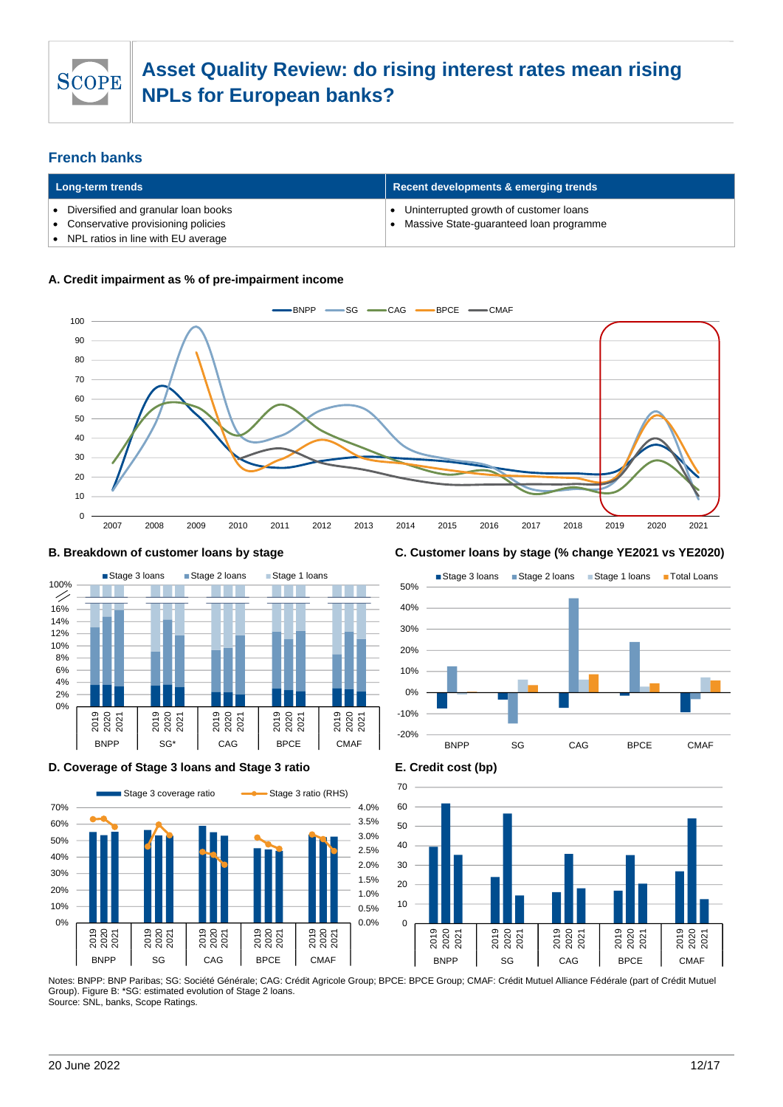

### **French banks**

| Long-term trends |                                                                                                                   | Recent developments & emerging trends                                             |  |  |
|------------------|-------------------------------------------------------------------------------------------------------------------|-----------------------------------------------------------------------------------|--|--|
|                  | Diversified and granular loan books<br>Conservative provisioning policies<br>• NPL ratios in line with EU average | Uninterrupted growth of customer loans<br>Massive State-guaranteed loan programme |  |  |

#### **A. Credit impairment as % of pre-impairment income**





#### **D. Coverage of Stage 3 loans and Stage 3 ratio E. Credit cost (bp)**



#### **B. Breakdown of customer loans by stage C. Customer loans by stage (% change YE2021 vs YE2020)**





Notes: BNPP: BNP Paribas; SG: Société Générale; CAG: Crédit Agricole Group; BPCE: BPCE Group; CMAF: Crédit Mutuel Alliance Fédérale (part of Crédit Mutuel Group). Figure B: \*SG: estimated evolution of Stage 2 loans. Source: SNL, banks, Scope Ratings.

20 June 2022 12/17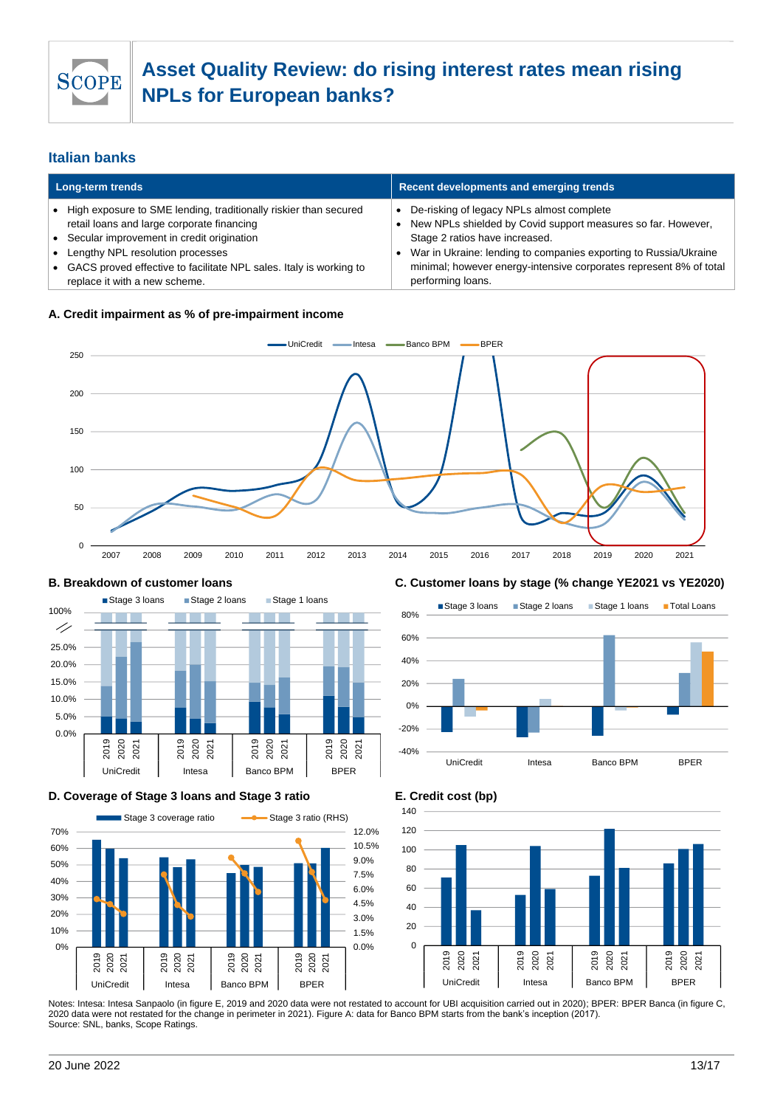

### **Italian banks**

| Long-term trends |                                                                                                                  | Recent developments and emerging trends |                                                                                                           |
|------------------|------------------------------------------------------------------------------------------------------------------|-----------------------------------------|-----------------------------------------------------------------------------------------------------------|
|                  | • High exposure to SME lending, traditionally riskier than secured<br>retail loans and large corporate financing |                                         | De-risking of legacy NPLs almost complete<br>New NPLs shielded by Covid support measures so far. However, |
|                  | • Secular improvement in credit origination                                                                      |                                         | Stage 2 ratios have increased.                                                                            |
| $\bullet$        | Lengthy NPL resolution processes                                                                                 |                                         | War in Ukraine: lending to companies exporting to Russia/Ukraine                                          |
|                  | • GACS proved effective to facilitate NPL sales. Italy is working to<br>replace it with a new scheme.            |                                         | minimal; however energy-intensive corporates represent 8% of total<br>performing loans.                   |

#### **A. Credit impairment as % of pre-impairment income**





#### **D. Coverage of Stage 3 loans and Stage 3 ratio E. Credit cost (bp)**



#### **B. Breakdown of customer loans C. Customer loans by stage (% change YE2021 vs YE2020)**





#### Notes: Intesa: Intesa Sanpaolo (in figure E, 2019 and 2020 data were not restated to account for UBI acquisition carried out in 2020); BPER: BPER Banca (in figure C, 2020 data were not restated for the change in perimeter in 2021). Figure A: data for Banco BPM starts from the bank's inception (2017). Source: SNL, banks, Scope Ratings.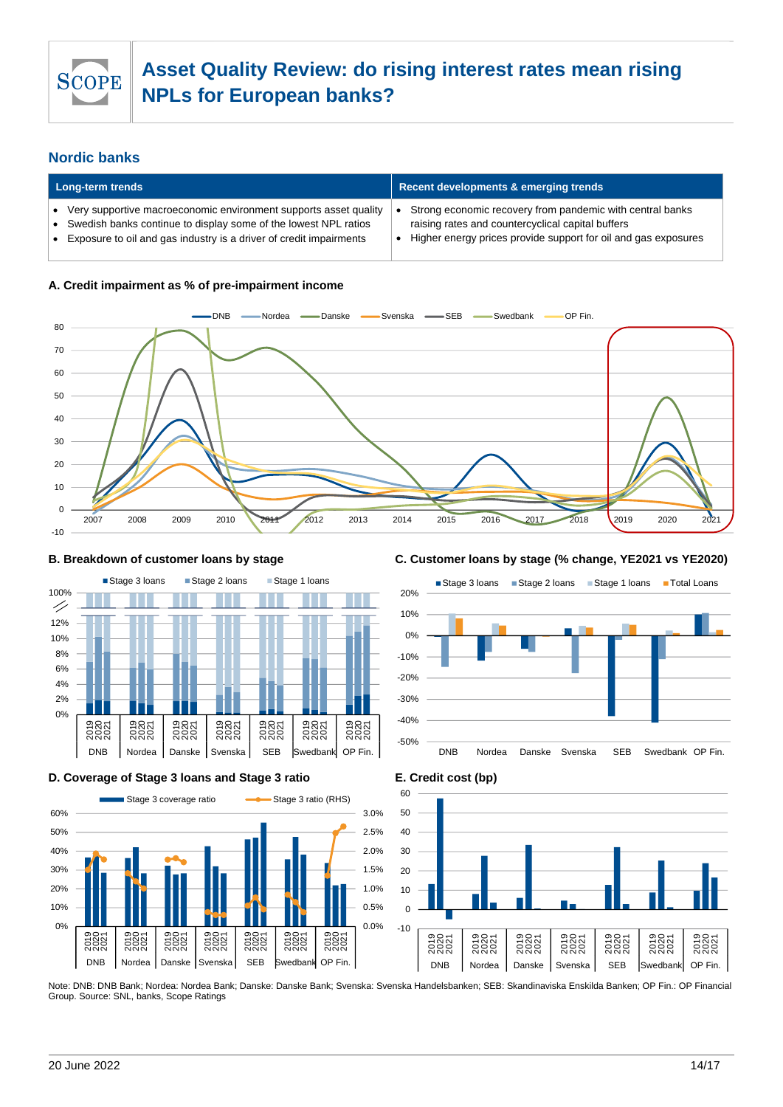

### **Nordic banks**

| Long-term trends |                                                                                                                                                                                                           | Recent developments & emerging trends                                                                                                                                            |  |
|------------------|-----------------------------------------------------------------------------------------------------------------------------------------------------------------------------------------------------------|----------------------------------------------------------------------------------------------------------------------------------------------------------------------------------|--|
|                  | Very supportive macroeconomic environment supports asset quality<br>Swedish banks continue to display some of the lowest NPL ratios<br>Exposure to oil and gas industry is a driver of credit impairments | Strong economic recovery from pandemic with central banks<br>raising rates and countercyclical capital buffers<br>Higher energy prices provide support for oil and gas exposures |  |

#### **A. Credit impairment as % of pre-impairment income**





#### **D. Coverage of Stage 3 loans and Stage 3 ratio E. Credit cost (bp)**



#### **B. Breakdown of customer loans by stage C. Customer loans by stage (% change, YE2021 vs YE2020)**



 $-10$  $\Omega$ 10 20 30  $40$ 50 60 ទីខ្លី<br>ខ្លីខ្លី ទីខ្លី<br>ខ្លីខ្លី ទីខ្លី<br>ខ្លីខ្លី ទីខ្លី<br>ខ្លីខ្លី ទីខ្លី<br>ខ្លីខ្លី ទីខ្លី<br>ខ្លីខ្លី ទីខ្លួន<br>ខ្លួនខ្លួ DNB Nordea Danske Svenska SEB Swedbank OP Fin.

Note: DNB: DNB Bank; Nordea: Nordea Bank; Danske: Danske Bank; Svenska: Svenska Handelsbanken; SEB: Skandinaviska Enskilda Banken; OP Fin.: OP Financial Group. Source: SNL, banks, Scope Ratings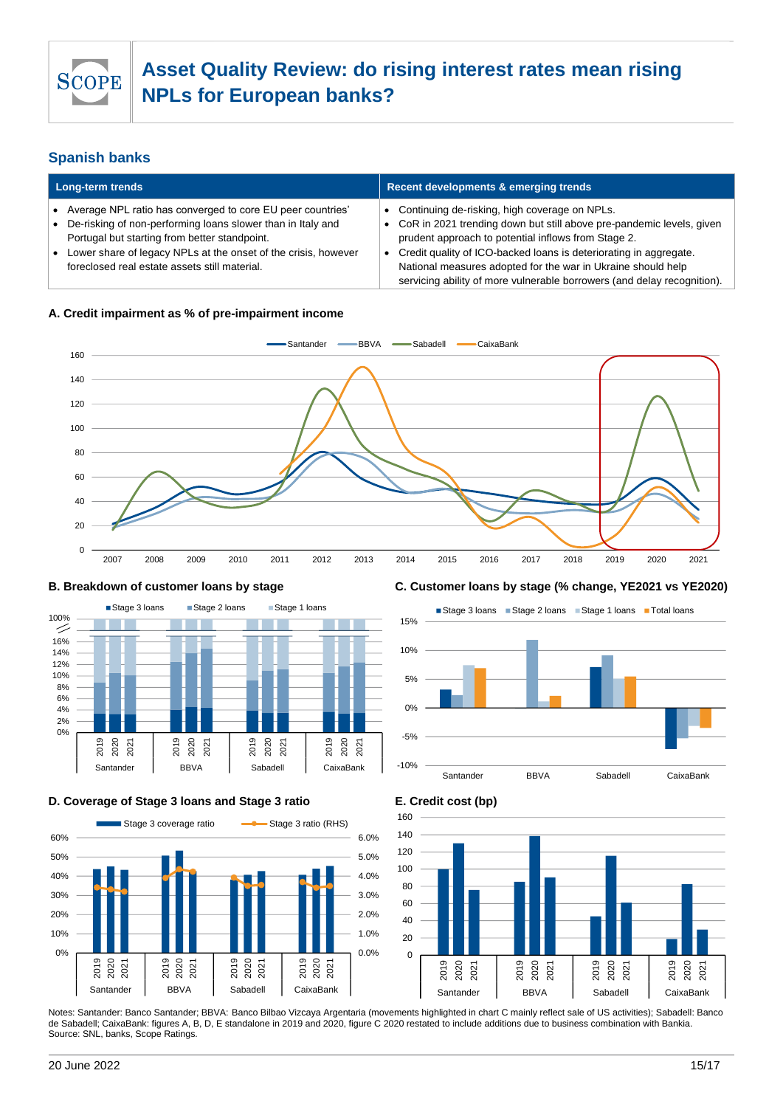

### **Spanish banks**

| Long-term trends                                                                                                                                                                                                                                                                                | Recent developments & emerging trends                                                                                                                                                                                                                                                                                                                                                              |  |  |
|-------------------------------------------------------------------------------------------------------------------------------------------------------------------------------------------------------------------------------------------------------------------------------------------------|----------------------------------------------------------------------------------------------------------------------------------------------------------------------------------------------------------------------------------------------------------------------------------------------------------------------------------------------------------------------------------------------------|--|--|
| Average NPL ratio has converged to core EU peer countries'<br>• De-risking of non-performing loans slower than in Italy and<br>Portugal but starting from better standpoint.<br>Lower share of legacy NPLs at the onset of the crisis, however<br>foreclosed real estate assets still material. | • Continuing de-risking, high coverage on NPLs.<br>• CoR in 2021 trending down but still above pre-pandemic levels, given<br>prudent approach to potential inflows from Stage 2.<br>• Credit quality of ICO-backed loans is deteriorating in aggregate.<br>National measures adopted for the war in Ukraine should help<br>servicing ability of more vulnerable borrowers (and delay recognition). |  |  |

#### **A. Credit impairment as % of pre-impairment income**





#### **D. Coverage of Stage 3 loans and Stage 3 ratio E. Credit cost (bp)**



#### **B. Breakdown of customer loans by stage C. Customer loans by stage (% change, YE2021 vs YE2020)**





Notes: Santander: Banco Santander; BBVA: Banco Bilbao Vizcaya Argentaria (movements highlighted in chart C mainly reflect sale of US activities); Sabadell: Banco de Sabadell; CaixaBank: figures A, B, D, E standalone in 2019 and 2020, figure C 2020 restated to include additions due to business combination with Bankia. Source: SNL, banks, Scope Ratings.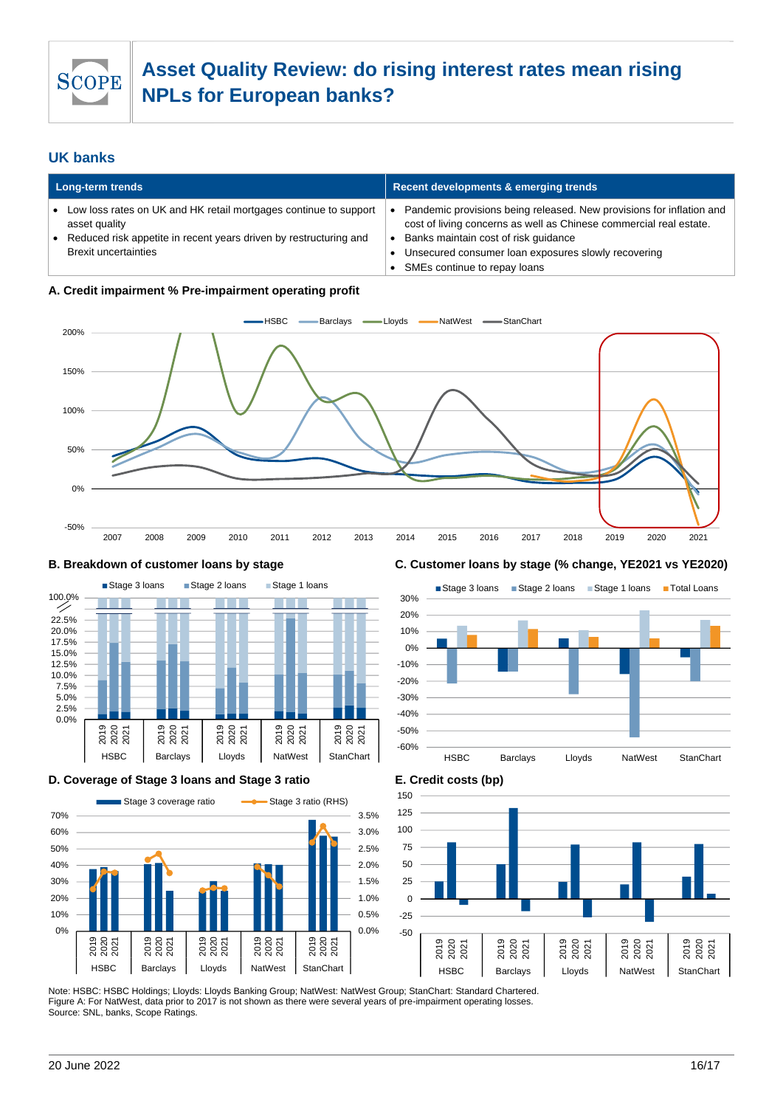

### **UK banks**

| Long-term trends |                                                                                                  | Recent developments & emerging trends |                                                                                                                                            |
|------------------|--------------------------------------------------------------------------------------------------|---------------------------------------|--------------------------------------------------------------------------------------------------------------------------------------------|
|                  | Low loss rates on UK and HK retail mortgages continue to support<br>asset quality                |                                       | Pandemic provisions being released. New provisions for inflation and<br>cost of living concerns as well as Chinese commercial real estate. |
|                  | Reduced risk appetite in recent years driven by restructuring and<br><b>Brexit uncertainties</b> |                                       | Banks maintain cost of risk quidance<br>Unsecured consumer loan exposures slowly recovering<br>SMEs continue to repay loans                |

#### **A. Credit impairment % Pre-impairment operating profit**





#### **D. Coverage of Stage 3 loans and Stage 3 ratio E. Credit costs (bp)**



#### **B. Breakdown of customer loans by stage C. Customer loans by stage (% change, YE2021 vs YE2020)**





Note: HSBC: HSBC Holdings; Lloyds: Lloyds Banking Group; NatWest: NatWest Group; StanChart: Standard Chartered. Figure A: For NatWest, data prior to 2017 is not shown as there were several years of pre-impairment operating losses. Source: SNL, banks, Scope Ratings.